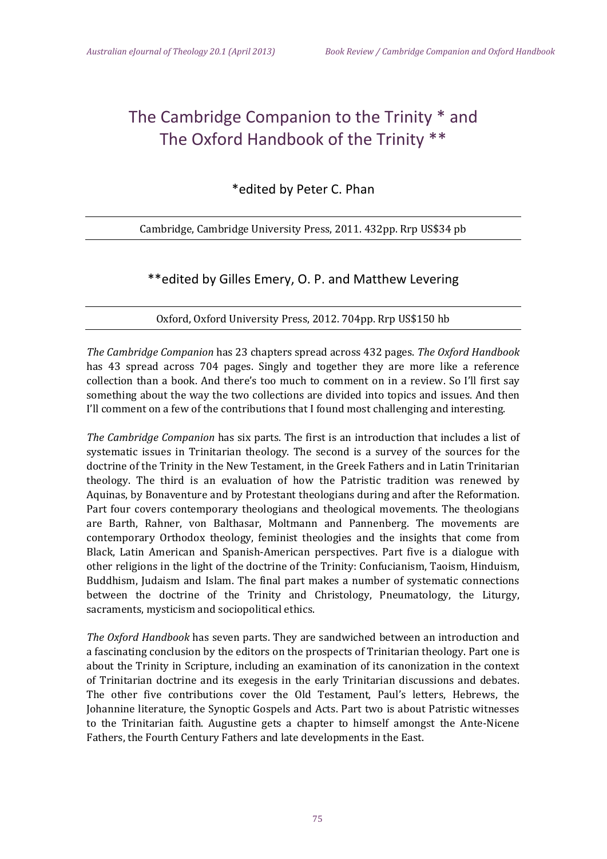## The Cambridge Companion to the Trinity \* and The Oxford Handbook of the Trinity \*\*

\*edited by Peter C. Phan

Cambridge, Cambridge University Press, 2011. 432pp. Rrp US\$34 pb

## \*\*edited by Gilles Emery, O. P. and Matthew Levering

Oxford, Oxford University Press, 2012. 704pp. Rrp US\$150 hb

*The Cambridge Companion* has 23 chapters spread across 432 pages. *The Oxford Handbook* has 43 spread across 704 pages. Singly and together they are more like a reference collection than a book. And there's too much to comment on in a review. So I'll first say something about the way the two collections are divided into topics and issues. And then I'll comment on a few of the contributions that I found most challenging and interesting.

*The Cambridge Companion* has six parts. The first is an introduction that includes a list of systematic issues in Trinitarian theology. The second is a survey of the sources for the doctrine of the Trinity in the New Testament, in the Greek Fathers and in Latin Trinitarian theology. The third is an evaluation of how the Patristic tradition was renewed by Aquinas, by Bonaventure and by Protestant theologians during and after the Reformation. Part four covers contemporary theologians and theological movements. The theologians are Barth, Rahner, von Balthasar, Moltmann and Pannenberg. The movements are contemporary Orthodox theology, feminist theologies and the insights that come from Black, Latin American and Spanish-American perspectives. Part five is a dialogue with other religions in the light of the doctrine of the Trinity: Confucianism, Taoism, Hinduism, Buddhism, Judaism and Islam. The final part makes a number of systematic connections between the doctrine of the Trinity and Christology, Pneumatology, the Liturgy, sacraments, mysticism and sociopolitical ethics.

*The Oxford Handbook* has seven parts. They are sandwiched between an introduction and a fascinating conclusion by the editors on the prospects of Trinitarian theology. Part one is about the Trinity in Scripture, including an examination of its canonization in the context of Trinitarian doctrine and its exegesis in the early Trinitarian discussions and debates. The other five contributions cover the Old Testament, Paul's letters, Hebrews, the Johannine literature, the Synoptic Gospels and Acts. Part two is about Patristic witnesses to the Trinitarian faith. Augustine gets a chapter to himself amongst the Ante-Nicene Fathers, the Fourth Century Fathers and late developments in the East.